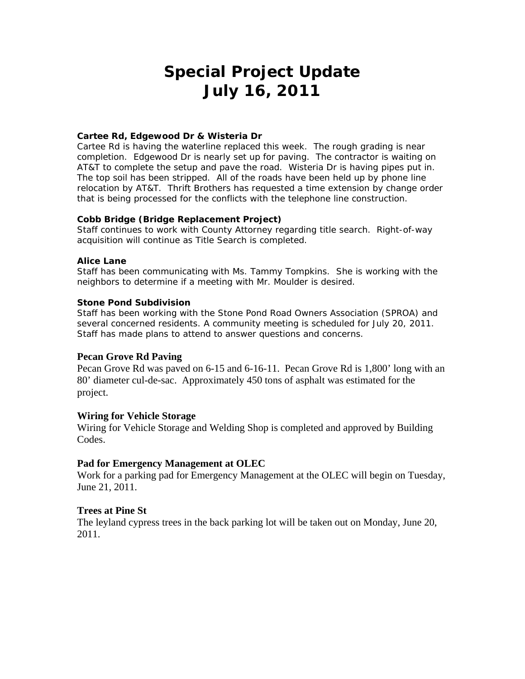# **Special Project Update July 16, 2011**

## **Cartee Rd, Edgewood Dr & Wisteria Dr**

Cartee Rd is having the waterline replaced this week. The rough grading is near completion. Edgewood Dr is nearly set up for paving. The contractor is waiting on AT&T to complete the setup and pave the road. Wisteria Dr is having pipes put in. The top soil has been stripped. All of the roads have been held up by phone line relocation by AT&T. Thrift Brothers has requested a time extension by change order that is being processed for the conflicts with the telephone line construction.

## **Cobb Bridge (Bridge Replacement Project)**

Staff continues to work with County Attorney regarding title search. Right-of-way acquisition will continue as Title Search is completed.

## **Alice Lane**

Staff has been communicating with Ms. Tammy Tompkins. She is working with the neighbors to determine if a meeting with Mr. Moulder is desired.

## **Stone Pond Subdivision**

Staff has been working with the Stone Pond Road Owners Association (SPROA) and several concerned residents. A community meeting is scheduled for July 20, 2011. Staff has made plans to attend to answer questions and concerns.

## **Pecan Grove Rd Paving**

Pecan Grove Rd was paved on 6-15 and 6-16-11. Pecan Grove Rd is 1,800' long with an 80' diameter cul-de-sac. Approximately 450 tons of asphalt was estimated for the project.

## **Wiring for Vehicle Storage**

Wiring for Vehicle Storage and Welding Shop is completed and approved by Building Codes.

## **Pad for Emergency Management at OLEC**

Work for a parking pad for Emergency Management at the OLEC will begin on Tuesday, June 21, 2011.

## **Trees at Pine St**

The leyland cypress trees in the back parking lot will be taken out on Monday, June 20, 2011.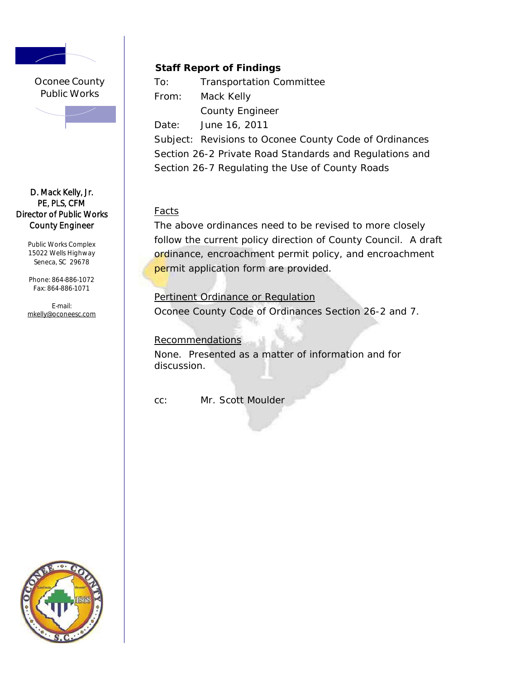

Oconee County Public Works

## D. Mack Kelly, Jr. PE, PLS, CFM Director of Public Works County Engineer

Public Works Complex 15022 Wells Highway Seneca, SC 29678

Phone: 864-886- 1072 Fax: 864-886-10 71

E-mail: mkelly@oconeesc.com

# **Staff Report of Findings**

To: Transportation Committee From: Mack Kelly County Engineer

Date: June 16, 2011

Subject: Revisions to Oconee County Code of Ordinances Section 26-2 Private Road Standards and Regulations and Section 26-7 Regulating the Use of County Roads

# **Facts**

The above ordinances need to be revised to more closely follow the current policy direction of County Council. A draft ordinance, encroachment permit policy, and encroachment permit application form are provided.

Pertinent Ordinance or Regulation Oconee County Code of Ordinances Section 26-2 and 7.

# **Recommendations**

None. Presented as a matter of information and for discussion.

cc: Mr. Scott Moulder

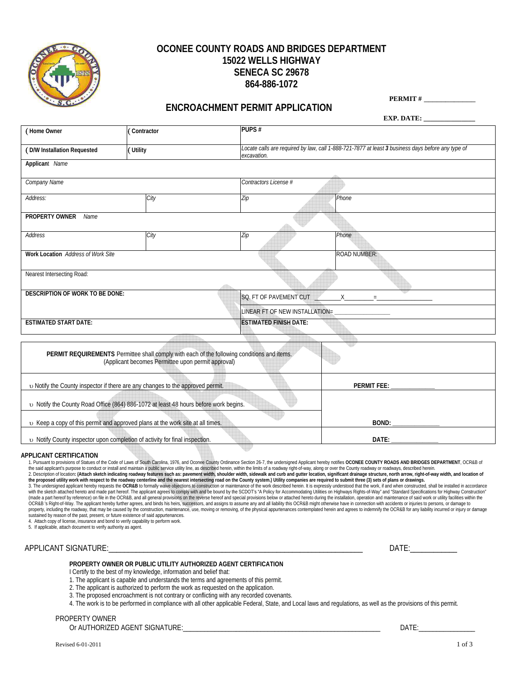

## **OCONEE COUNTY ROADS AND BRIDGES DEPARTMENT 15022 WELLS HIGHWAY SENECA SC 29678 864-886-1072**

## **ENCROACHMENT PERMIT APPLICATION**

 **PERMIT #** \_\_\_\_\_\_\_\_\_\_\_\_

|                                        |                                                                                                                                                   |                                 | <b>EXP. DATE:</b>                                                                                 |  |  |
|----------------------------------------|---------------------------------------------------------------------------------------------------------------------------------------------------|---------------------------------|---------------------------------------------------------------------------------------------------|--|--|
| (Home Owner                            | Contractor                                                                                                                                        | PUPS#                           |                                                                                                   |  |  |
| (D/W Installation Requested            | Utility                                                                                                                                           | excavation.                     | Locate calls are required by law, call 1-888-721-7877 at least 3 business days before any type of |  |  |
| Applicant Name                         |                                                                                                                                                   |                                 |                                                                                                   |  |  |
| Company Name                           |                                                                                                                                                   | Contractors License #           |                                                                                                   |  |  |
| Address:                               | City                                                                                                                                              | $\overline{Zip}$                | Phone                                                                                             |  |  |
| PROPERTY OWNER<br>Name                 |                                                                                                                                                   |                                 |                                                                                                   |  |  |
| Address                                | City                                                                                                                                              | Zip                             | Phone                                                                                             |  |  |
| Work Location Address of Work Site     |                                                                                                                                                   |                                 | <b>ROAD NUMBER:</b>                                                                               |  |  |
| Nearest Intersecting Road:             |                                                                                                                                                   |                                 |                                                                                                   |  |  |
| <b>DESCRIPTION OF WORK TO BE DONE:</b> |                                                                                                                                                   | SQ. FT OF PAVEMENT CUT<br>$X =$ |                                                                                                   |  |  |
|                                        |                                                                                                                                                   | LINEAR FT OF NEW INSTALLATION=  |                                                                                                   |  |  |
| <b>ESTIMATED START DATE:</b>           |                                                                                                                                                   | <b>ESTIMATED FINISH DATE:</b>   |                                                                                                   |  |  |
|                                        |                                                                                                                                                   |                                 |                                                                                                   |  |  |
|                                        | PERMIT REQUIREMENTS Permittee shall comply with each of the following conditions and items.<br>(Applicant becomes Permittee upon permit approval) |                                 |                                                                                                   |  |  |
|                                        | v Notify the County inspector if there are any changes to the approved permit.                                                                    |                                 | <b>PERMIT FEE:</b>                                                                                |  |  |
|                                        |                                                                                                                                                   |                                 |                                                                                                   |  |  |

 υ Notify the County Road Office (864) 886-1072 at least 48 hours before work begins. υ Keep a copy of this permit and approved plans at the work site at all times. **BOND: \_\_\_\_\_\_\_\_\_\_\_\_\_\_\_** υ Notify County inspector upon completion of activity for final inspection. **DATE: \_\_\_\_\_\_\_\_\_\_\_\_\_\_\_** 

#### **APPLICANT CERTIFICATION**

1. Pursuant to provisions of Statues of the Code of Laws of South Carolina, 1976, and Oconee County Ordinance Section 26-7, the undersigned Applicant hereby notifies OCONEE COUNTY ROADS AND BRIDGES DEPARTMENT, OCR&B of

the said applicant's purpose to conduct or install and maintain a public service utility line, as described herein, within the limits of a roadway right-of-way, along or over the County roadways roadways, described herein. (made a part hereof by reference) on file in the OCR&B, and all general provisions on the reverse hereof and special provisions below or attached hereto during the installation, operation and maintenance of said work or ut OCR&B 's Right-of-Way. The applicant hereby further agrees, and binds his heirs, successors, and assigns to assume any and all liability this OCR&B might otherwise have in connection with accidents or injuries to persons, sustained by reason of the past, present, or future existence of said appurtenances. 4. Attach copy of license, insurance and bond to verify capability to perform work.

5. If applicable, attach document to verify authority as agent.

## APPLICANT SIGNATURE:\_\_\_\_\_\_\_\_\_\_\_\_\_\_\_\_\_\_\_\_\_\_\_\_\_\_\_\_\_\_\_\_\_\_\_\_\_\_\_\_\_\_\_\_\_\_\_\_\_\_\_\_\_\_\_\_\_\_\_\_\_\_\_\_\_ DATE:\_\_\_\_\_\_\_\_\_\_\_\_

#### **PROPERTY OWNER OR PUBLIC UTILITY AUTHORIZED AGENT CERTIFICATION**

I Certify to the best of my knowledge, information and belief that:

- 1. The applicant is capable and understands the terms and agreements of this permit.
- 2. The applicant is authorized to perform the work as requested on the application.
- 3. The proposed encroachment is not contrary or conflicting with any recorded covenants.
- 4. The work is to be performed in compliance with all other applicable Federal, State, and Local laws and regulations, as well as the provisions of this permit.

PROPERTY OWNER

Or AUTHORIZED AGENT SIGNATURE:\_\_\_\_\_\_\_\_\_\_\_\_\_\_\_\_\_\_\_\_\_\_\_\_\_\_\_\_\_\_\_\_\_\_\_\_\_\_\_\_\_\_\_\_\_\_\_\_\_\_\_\_\_\_\_\_ DATE:\_\_\_\_\_\_\_\_\_\_\_\_\_\_\_\_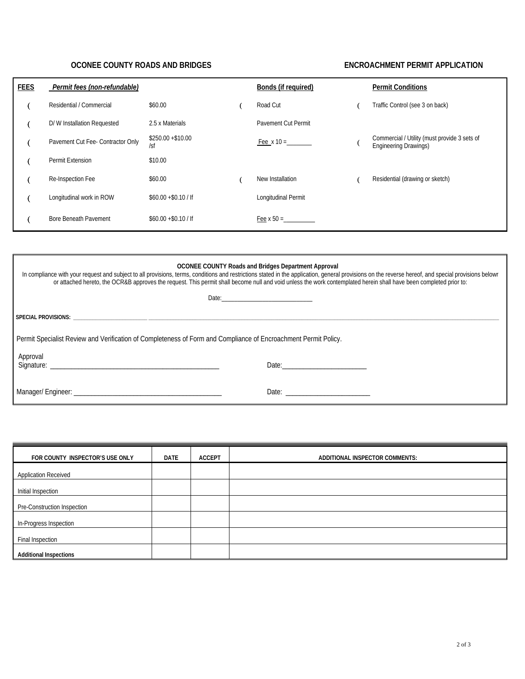## **OCONEE COUNTY ROADS AND BRIDGES ENCROACHMENT PERMIT APPLICATION**

| <b>FEES</b> | Permit fees (non-refundable)      |                           | <b>Bonds (if required)</b> | <b>Permit Conditions</b>                                                     |
|-------------|-----------------------------------|---------------------------|----------------------------|------------------------------------------------------------------------------|
|             | Residential / Commercial          | \$60.00                   | Road Cut                   | Traffic Control (see 3 on back)                                              |
|             | D/W Installation Requested        | 2.5 x Materials           | <b>Pavement Cut Permit</b> |                                                                              |
|             | Pavement Cut Fee- Contractor Only | $$250.00 + $10.00$<br>/sf | Fee $x 10 =$               | Commercial / Utility (must provide 3 sets of<br><b>Engineering Drawings)</b> |
|             | Permit Extension                  | \$10.00                   |                            |                                                                              |
|             | Re-Inspection Fee                 | \$60.00                   | New Installation           | Residential (drawing or sketch)                                              |
|             | Longitudinal work in ROW          | $$60.00 + $0.10 /$ If     | Longitudinal Permit        |                                                                              |
|             | Bore Beneath Pavement             | $$60.00 + $0.10 /$ If     | Fee $x 50 =$               |                                                                              |

| <b>OCONEE COUNTY Roads and Bridges Department Approval</b><br>In compliance with your request and subject to all provisions, terms, conditions and restrictions stated in the application, general provisions on the reverse hereof, and special provisions belowr<br>or attached hereto, the OCR&B approves the request. This permit shall become null and void unless the work contemplated herein shall have been completed prior to: |                                      |  |  |  |  |
|------------------------------------------------------------------------------------------------------------------------------------------------------------------------------------------------------------------------------------------------------------------------------------------------------------------------------------------------------------------------------------------------------------------------------------------|--------------------------------------|--|--|--|--|
|                                                                                                                                                                                                                                                                                                                                                                                                                                          |                                      |  |  |  |  |
|                                                                                                                                                                                                                                                                                                                                                                                                                                          |                                      |  |  |  |  |
| Permit Specialist Review and Verification of Completeness of Form and Compliance of Encroachment Permit Policy.                                                                                                                                                                                                                                                                                                                          |                                      |  |  |  |  |
| Approval                                                                                                                                                                                                                                                                                                                                                                                                                                 |                                      |  |  |  |  |
|                                                                                                                                                                                                                                                                                                                                                                                                                                          | Date: <u>_______________________</u> |  |  |  |  |

| FOR COUNTY INSPECTOR'S USE ONLY | <b>DATE</b> | <b>ACCEPT</b> | ADDITIONAL INSPECTOR COMMENTS: |
|---------------------------------|-------------|---------------|--------------------------------|
| <b>Application Received</b>     |             |               |                                |
| Initial Inspection              |             |               |                                |
| Pre-Construction Inspection     |             |               |                                |
| In-Progress Inspection          |             |               |                                |
| Final Inspection                |             |               |                                |
| <b>Additional Inspections</b>   |             |               |                                |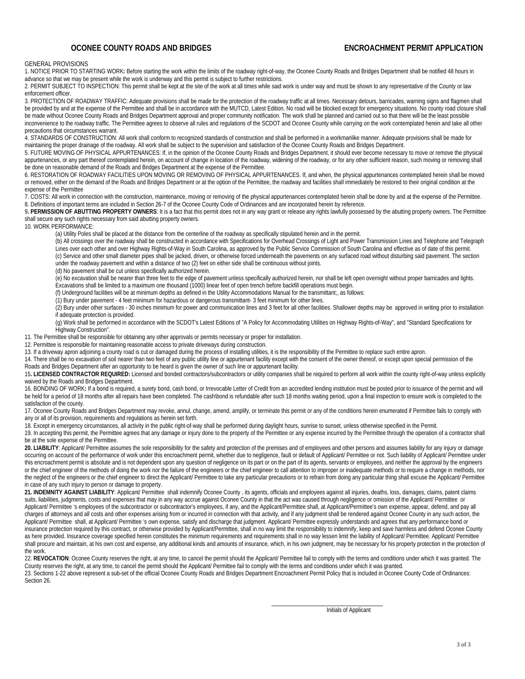## **OCONEE COUNTY ROADS AND BRIDGES ENCROACHMENT PERMIT APPLICATION**

#### GENERAL PROVISIONS

1. NOTICE PRIOR TO STARTING WORK**:** Before starting the work within the limits of the roadway right-of-way, the Oconee County Roads and Bridges Department shall be notified 48 hours in advance so that we may be present while the work is underway and this permit is subject to further restrictions.

2. PERMIT SUBJECT TO INSPECTION: This permit shall be kept at the site of the work at all times while said work is under way and must be shown to any representative of the County or law enforcement officer.

3. PROTECTION OF ROADWAY TRAFFIC: Adequate provisions shall be made for the protection of the roadway traffic at all times. Necessary detours, barricades, warning signs and flagmen shall be provided by and at the expense of the Permittee and shall be in accordance with the MUTCD, Latest Edition. No road will be blocked except for emergency situations. No county road closure shall be made without Oconee County Roads and Bridges Department approval and proper community notification. The work shall be planned and carried out so that there will be the least possible inconvenience to the roadway traffic. The Permittee agrees to observe all rules and regulations of the SCDOT and Oconee County while carrying on the work contemplated herein and take all other precautions that circumstances warrant.

4. STANDARDS OF CONSTRUCTION: All work shall conform to recognized standards of construction and shall be performed in a workmanlike manner. Adequate provisions shall be made for maintaining the proper drainage of the roadway. All work shall be subject to the supervision and satisfaction of the Oconee County Roads and Bridges Department.

5. FUTURE MOVING OF PHYSICAL APPURTENANCES: If, in the opinion of the Oconee County Roads and Bridges Department, it should ever become necessary to move or remove the physical appurtenances, or any part thereof contemplated herein, on account of change in location of the roadway, widening of the roadway, or for any other sufficient reason, such moving or removing shall be done on reasonable demand of the Roads and Bridges Department at the expense of the Permittee.

6. RESTORATION OF ROADWAY FACILITIES UPON MOVING OR REMOVING OF PHYSICAL APPURTENANCES. If, and when, the physical appurtenances contemplated herein shall be moved or removed, either on the demand of the Roads and Bridges Department or at the option of the Permittee, the roadway and facilities shall immediately be restored to their original condition at the expense of the Permittee

7. COSTS: All work in connection with the construction, maintenance, moving or removing of the physical appurtenances contemplated herein shall be done by and at the expense of the Permittee. 8. Definitions of important terms are included in Section 26-7 of the Oconee County Code of Ordinances and are incorporated herein by reference.

**9. PERMISSION OF ABUTTING PROPERTY OWNERS:** It is a fact that this permit does not in any way grant or release any rights lawfully possessed by the abutting property owners. The Permittee shall secure any such rights necessary from said abutting property owners.

10. WORK PERFORMANCE:

(a) Utility Poles shall be placed at the distance from the centerline of the roadway as specifically stipulated herein and in the permit.

 (b) All crossings over the roadway shall be constructed in accordance with Specifications for Overhead Crossings of Light and Power Transmission Lines and Telephone and Telegraph Lines over each other and over Highway Rights-of-Way in South Carolina, as approved by the Public Service Commission of South Carolina and effective as of date of this permit. (c) Service and other small diameter pipes shall be jacked, driven, or otherwise forced underneath the pavements on any surfaced road without disturbing said pavement. The section under the roadway pavement and within a distance of two (2) feet on either side shall be continuous without joints.

(d) No pavement shall be cut unless specifically authorized herein.

 (e) No excavation shall be nearer than three feet to the edge of pavement unless specifically authorized herein, nor shall be left open overnight without proper barricades and lights. Excavations shall be limited to a maximum one thousand (1000) linear feet of open trench before backfill operations must begin.

(f) Underground facilities will be at minimum depths as defined in the Utility Accommodations Manual for the transmittant;, as follows:

(1) Bury under pavement - 4 feet minimum for hazardous or dangerous transmittant- 3 feet minimum for other lines.

(2) Bury under other surfaces - 30 inches minimum for power and communication lines and 3 feet for all other facilities. Shallower depths may be approved in writing prior to installation if adequate protection is provided.

 (g) Work shall be performed in accordance with the SCDOT's Latest Editions of "A Policy for Accommodating Utilities on Highway Rights-of-Way", and "Standard Specifications for Highway Construction".

11. The Permittee shall be responsible for obtaining any other approvals or permits necessary or proper for installation.

12. Permittee is responsible for maintaining reasonable access to private driveways during construction.

13. If a driveway apron adjoining a county road is cut or damaged during the process of installing utilities, it is the responsibility of the Permittee to replace such entire apron.

14. There shall be no excavation of soil nearer than two feet of any public utility line or appurtenant facility except with the consent of the owner thereof, or except upon special permission of the Roads and Bridges Department after an opportunity to be heard is given the owner of such line or appurtenant facility.

15**. LICENSED CONTRACTOR REQUIRED:** Licensed and bonded contractors/subcontractors or utility companies shall be required to perform all work within the county right-of-way unless explicitly waived by the Roads and Bridges Department.

16. BONDING OF WORK**:** If a bond is required, a surety bond, cash bond, or Irrevocable Letter of Credit from an accredited lending institution must be posted prior to issuance of the permit and will be held for a period of 18 months after all repairs have been completed. The cash\bond is refundable after such 18 months waiting period, upon a final inspection to ensure work is completed to the satisfaction of the county.

17. Oconee County Roads and Bridges Department may revoke, annul, change, amend, amplify, or terminate this permit or any of the conditions herein enumerated if Permittee fails to comply with any or all of its provision, requirements and regulations as herein set forth.

18. Except in emergency circumstances, all activity in the public right-of-way shall be performed during daylight hours, sunrise to sunset, unless otherwise specified in the Permit.

19. In accepting this permit, the Permittee agrees that any damage or injury done to the property of the Permittee or any expense incurred by the Permittee through the operation of a contractor shall be at the sole expense of the Permittee.

**20. LIABILITY**: Applicant/ Permittee assumes the sole responsibility for the safety and protection of the premises and of employees and other persons and assumes liability for any injury or damage occurring on account of the performance of work under this encroachment permit, whether due to negligence, fault or default of Applicant/ Permittee or not. Such liability of Applicant/ Permittee under this encroachment permit is absolute and is not dependent upon any question of negligence on its part or on the part of its agents, servants or employees, and neither the approval by the engineers or the chief engineer of the methods of doing the work nor the failure of the engineers or the chief engineer to call attention to improper or inadequate methods or to require a change in methods, nor the neglect of the engineers or the chief engineer to direct the Applicant/ Permittee to take any particular precautions or to refrain from doing any particular thing shall excuse the Applicant/ Permittee in case of any such injury to person or damage to property.

21. INDEMNITY AGAINST LIABILITY: Applicant/ Permittee shall indemnify Oconee County, its agents, officials and employees against all injuries, deaths, loss, damages, claims, patent claims suits, liabilities, judgments, costs and expenses that may in any way accrue against Oconee County in that the act was caused through negligence or omission of the Applicant/ Permittee or Applicant/ Permittee 's employees of the subcontractor or subcontractor's employees, if any, and the Applicant/Permittee shall, at Applicant/Permittee's own expense, appear, defend, and pay all charges of attorneys and all costs and other expenses arising from or incurred in connection with that activity, and if any judgment shall be rendered against Oconee County in any such action, the Applicant/ Permittee shall, at Applicant/ Permittee 's own expense, satisfy and discharge that judgment. Applicant/ Permittee expressly understands and agrees that any performance bond or insurance protection required by this contract, or otherwise provided by Applicant/Permittee, shall in no way limit the responsibility to indemnify, keep and save harmless and defend Oconee County as here provided. Insurance coverage specified herein constitutes the minimum requirements and requirements shall in no way lessen limit the liability of Applicant/ Permittee. Applicant/ Permittee shall procure and maintain, at his own cost and expense, any additional kinds and amounts of insurance, which, in his own judgment, may be necessary for his property protection in the protection of the work.

22. REVOCATION: Oconee County reserves the right, at any time, to cancel the permit should the Applicant/ Permittee fail to comply with the terms and conditions under which it was granted. The County reserves the right, at any time, to cancel the permit should the Applicant/ Permittee fail to comply with the terms and conditions under which it was granted.

23. Sections 1-22 above represent a sub-set of the official Oconee County Roads and Bridges Department Encroachment Permit Policy that is included in Oconee County Code of Ordinances: Section 26.

 $\frac{1}{2}$  , and the state of the state of the state of the state of the state of the state of the state of the state of the state of the state of the state of the state of the state of the state of the state of the state Initials of Applicant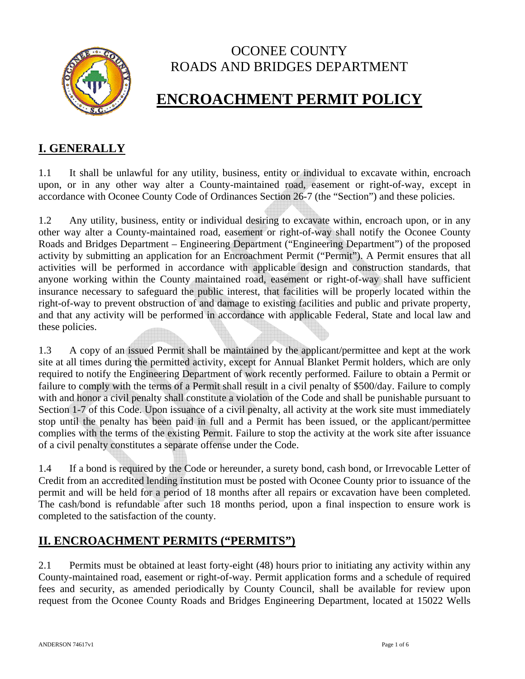

# OCONEE COUNTY ROADS AND BRIDGES DEPARTMENT

# **ENCROACHMENT PERMIT POLICY**

# **I. GENERALLY**

1.1 It shall be unlawful for any utility, business, entity or individual to excavate within, encroach upon, or in any other way alter a County-maintained road, easement or right-of-way, except in accordance with Oconee County Code of Ordinances Section 26-7 (the "Section") and these policies.

1.2 Any utility, business, entity or individual desiring to excavate within, encroach upon, or in any other way alter a County-maintained road, easement or right-of-way shall notify the Oconee County Roads and Bridges Department – Engineering Department ("Engineering Department") of the proposed activity by submitting an application for an Encroachment Permit ("Permit"). A Permit ensures that all activities will be performed in accordance with applicable design and construction standards, that anyone working within the County maintained road, easement or right-of-way shall have sufficient insurance necessary to safeguard the public interest, that facilities will be properly located within the right-of-way to prevent obstruction of and damage to existing facilities and public and private property, and that any activity will be performed in accordance with applicable Federal, State and local law and these policies.

1.3 A copy of an issued Permit shall be maintained by the applicant/permittee and kept at the work site at all times during the permitted activity, except for Annual Blanket Permit holders, which are only required to notify the Engineering Department of work recently performed. Failure to obtain a Permit or failure to comply with the terms of a Permit shall result in a civil penalty of \$500/day. Failure to comply with and honor a civil penalty shall constitute a violation of the Code and shall be punishable pursuant to Section 1-7 of this Code. Upon issuance of a civil penalty, all activity at the work site must immediately stop until the penalty has been paid in full and a Permit has been issued, or the applicant/permittee complies with the terms of the existing Permit. Failure to stop the activity at the work site after issuance of a civil penalty constitutes a separate offense under the Code.

1.4 If a bond is required by the Code or hereunder, a surety bond, cash bond, or Irrevocable Letter of Credit from an accredited lending institution must be posted with Oconee County prior to issuance of the permit and will be held for a period of 18 months after all repairs or excavation have been completed. The cash/bond is refundable after such 18 months period, upon a final inspection to ensure work is completed to the satisfaction of the county.

# **II. ENCROACHMENT PERMITS ("PERMITS")**

2.1 Permits must be obtained at least forty-eight (48) hours prior to initiating any activity within any County-maintained road, easement or right-of-way. Permit application forms and a schedule of required fees and security, as amended periodically by County Council, shall be available for review upon request from the Oconee County Roads and Bridges Engineering Department, located at 15022 Wells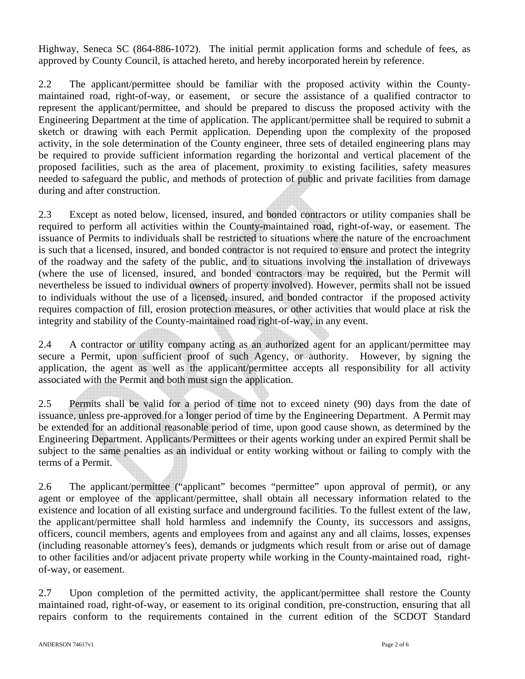Highway, Seneca SC (864-886-1072). The initial permit application forms and schedule of fees, as approved by County Council, is attached hereto, and hereby incorporated herein by reference.

2.2 The applicant/permittee should be familiar with the proposed activity within the Countymaintained road, right-of-way, or easement, or secure the assistance of a qualified contractor to represent the applicant/permittee, and should be prepared to discuss the proposed activity with the Engineering Department at the time of application. The applicant/permittee shall be required to submit a sketch or drawing with each Permit application. Depending upon the complexity of the proposed activity, in the sole determination of the County engineer, three sets of detailed engineering plans may be required to provide sufficient information regarding the horizontal and vertical placement of the proposed facilities, such as the area of placement, proximity to existing facilities, safety measures needed to safeguard the public, and methods of protection of public and private facilities from damage during and after construction.

2.3 Except as noted below, licensed, insured, and bonded contractors or utility companies shall be required to perform all activities within the County-maintained road, right-of-way, or easement. The issuance of Permits to individuals shall be restricted to situations where the nature of the encroachment is such that a licensed, insured, and bonded contractor is not required to ensure and protect the integrity of the roadway and the safety of the public, and to situations involving the installation of driveways (where the use of licensed, insured, and bonded contractors may be required, but the Permit will nevertheless be issued to individual owners of property involved). However, permits shall not be issued to individuals without the use of a licensed, insured, and bonded contractor if the proposed activity requires compaction of fill, erosion protection measures, or other activities that would place at risk the integrity and stability of the County-maintained road right-of-way, in any event.

2.4 A contractor or utility company acting as an authorized agent for an applicant/permittee may secure a Permit, upon sufficient proof of such Agency, or authority. However, by signing the application, the agent as well as the applicant/permittee accepts all responsibility for all activity associated with the Permit and both must sign the application.

2.5 Permits shall be valid for a period of time not to exceed ninety (90) days from the date of issuance, unless pre-approved for a longer period of time by the Engineering Department. A Permit may be extended for an additional reasonable period of time, upon good cause shown, as determined by the Engineering Department. Applicants/Permittees or their agents working under an expired Permit shall be subject to the same penalties as an individual or entity working without or failing to comply with the terms of a Permit.

2.6 The applicant/permittee ("applicant" becomes "permittee" upon approval of permit), or any agent or employee of the applicant/permittee, shall obtain all necessary information related to the existence and location of all existing surface and underground facilities. To the fullest extent of the law, the applicant/permittee shall hold harmless and indemnify the County, its successors and assigns, officers, council members, agents and employees from and against any and all claims, losses, expenses (including reasonable attorney's fees), demands or judgments which result from or arise out of damage to other facilities and/or adjacent private property while working in the County-maintained road, rightof-way, or easement.

2.7 Upon completion of the permitted activity, the applicant/permittee shall restore the County maintained road, right-of-way, or easement to its original condition, pre-construction, ensuring that all repairs conform to the requirements contained in the current edition of the SCDOT Standard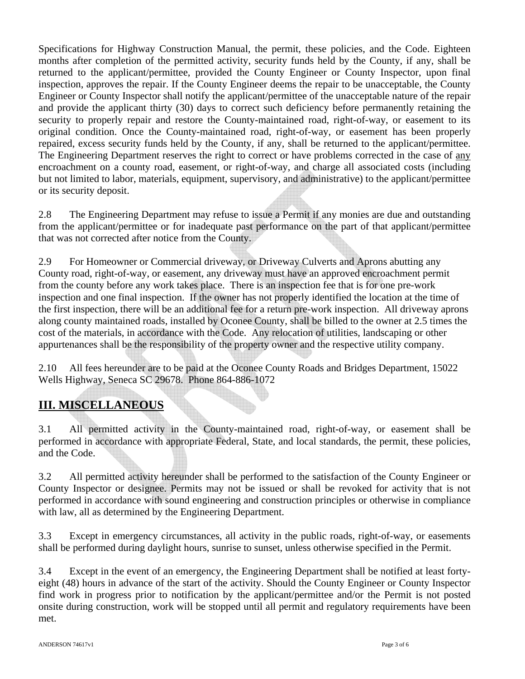Specifications for Highway Construction Manual, the permit, these policies, and the Code. Eighteen months after completion of the permitted activity, security funds held by the County, if any, shall be returned to the applicant/permittee, provided the County Engineer or County Inspector, upon final inspection, approves the repair. If the County Engineer deems the repair to be unacceptable, the County Engineer or County Inspector shall notify the applicant/permittee of the unacceptable nature of the repair and provide the applicant thirty (30) days to correct such deficiency before permanently retaining the security to properly repair and restore the County-maintained road, right-of-way, or easement to its original condition. Once the County-maintained road, right-of-way, or easement has been properly repaired, excess security funds held by the County, if any, shall be returned to the applicant/permittee. The Engineering Department reserves the right to correct or have problems corrected in the case of any encroachment on a county road, easement, or right-of-way, and charge all associated costs (including but not limited to labor, materials, equipment, supervisory, and administrative) to the applicant/permittee or its security deposit.

2.8 The Engineering Department may refuse to issue a Permit if any monies are due and outstanding from the applicant/permittee or for inadequate past performance on the part of that applicant/permittee that was not corrected after notice from the County.

2.9 For Homeowner or Commercial driveway, or Driveway Culverts and Aprons abutting any County road, right-of-way, or easement, any driveway must have an approved encroachment permit from the county before any work takes place. There is an inspection fee that is for one pre-work inspection and one final inspection. If the owner has not properly identified the location at the time of the first inspection, there will be an additional fee for a return pre-work inspection. All driveway aprons along county maintained roads, installed by Oconee County, shall be billed to the owner at 2.5 times the cost of the materials, in accordance with the Code. Any relocation of utilities, landscaping or other appurtenances shall be the responsibility of the property owner and the respective utility company.

2.10 All fees hereunder are to be paid at the Oconee County Roads and Bridges Department, 15022 Wells Highway, Seneca SC 29678. Phone 864-886-1072

# **III. MISCELLANEOUS**

3.1 All permitted activity in the County-maintained road, right-of-way, or easement shall be performed in accordance with appropriate Federal, State, and local standards, the permit, these policies, and the Code.

3.2 All permitted activity hereunder shall be performed to the satisfaction of the County Engineer or County Inspector or designee. Permits may not be issued or shall be revoked for activity that is not performed in accordance with sound engineering and construction principles or otherwise in compliance with law, all as determined by the Engineering Department.

3.3 Except in emergency circumstances, all activity in the public roads, right-of-way, or easements shall be performed during daylight hours, sunrise to sunset, unless otherwise specified in the Permit.

3.4 Except in the event of an emergency, the Engineering Department shall be notified at least fortyeight (48) hours in advance of the start of the activity. Should the County Engineer or County Inspector find work in progress prior to notification by the applicant/permittee and/or the Permit is not posted onsite during construction, work will be stopped until all permit and regulatory requirements have been met.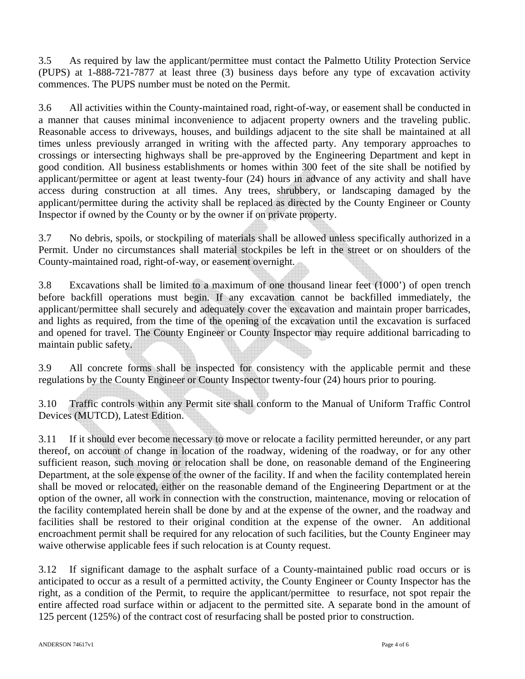3.5 As required by law the applicant/permittee must contact the Palmetto Utility Protection Service (PUPS) at 1-888-721-7877 at least three (3) business days before any type of excavation activity commences. The PUPS number must be noted on the Permit.

3.6 All activities within the County-maintained road, right-of-way, or easement shall be conducted in a manner that causes minimal inconvenience to adjacent property owners and the traveling public. Reasonable access to driveways, houses, and buildings adjacent to the site shall be maintained at all times unless previously arranged in writing with the affected party. Any temporary approaches to crossings or intersecting highways shall be pre-approved by the Engineering Department and kept in good condition. All business establishments or homes within 300 feet of the site shall be notified by applicant/permittee or agent at least twenty-four (24) hours in advance of any activity and shall have access during construction at all times. Any trees, shrubbery, or landscaping damaged by the applicant/permittee during the activity shall be replaced as directed by the County Engineer or County Inspector if owned by the County or by the owner if on private property.

3.7 No debris, spoils, or stockpiling of materials shall be allowed unless specifically authorized in a Permit. Under no circumstances shall material stockpiles be left in the street or on shoulders of the County-maintained road, right-of-way, or easement overnight.

3.8 Excavations shall be limited to a maximum of one thousand linear feet (1000') of open trench before backfill operations must begin. If any excavation cannot be backfilled immediately, the applicant/permittee shall securely and adequately cover the excavation and maintain proper barricades, and lights as required, from the time of the opening of the excavation until the excavation is surfaced and opened for travel. The County Engineer or County Inspector may require additional barricading to maintain public safety.

3.9 All concrete forms shall be inspected for consistency with the applicable permit and these regulations by the County Engineer or County Inspector twenty-four (24) hours prior to pouring.

3.10 Traffic controls within any Permit site shall conform to the Manual of Uniform Traffic Control Devices (MUTCD), Latest Edition.

3.11 If it should ever become necessary to move or relocate a facility permitted hereunder, or any part thereof, on account of change in location of the roadway, widening of the roadway, or for any other sufficient reason, such moving or relocation shall be done, on reasonable demand of the Engineering Department, at the sole expense of the owner of the facility. If and when the facility contemplated herein shall be moved or relocated, either on the reasonable demand of the Engineering Department or at the option of the owner, all work in connection with the construction, maintenance, moving or relocation of the facility contemplated herein shall be done by and at the expense of the owner, and the roadway and facilities shall be restored to their original condition at the expense of the owner. An additional encroachment permit shall be required for any relocation of such facilities, but the County Engineer may waive otherwise applicable fees if such relocation is at County request.

3.12 If significant damage to the asphalt surface of a County-maintained public road occurs or is anticipated to occur as a result of a permitted activity, the County Engineer or County Inspector has the right, as a condition of the Permit, to require the applicant/permittee to resurface, not spot repair the entire affected road surface within or adjacent to the permitted site. A separate bond in the amount of 125 percent (125%) of the contract cost of resurfacing shall be posted prior to construction.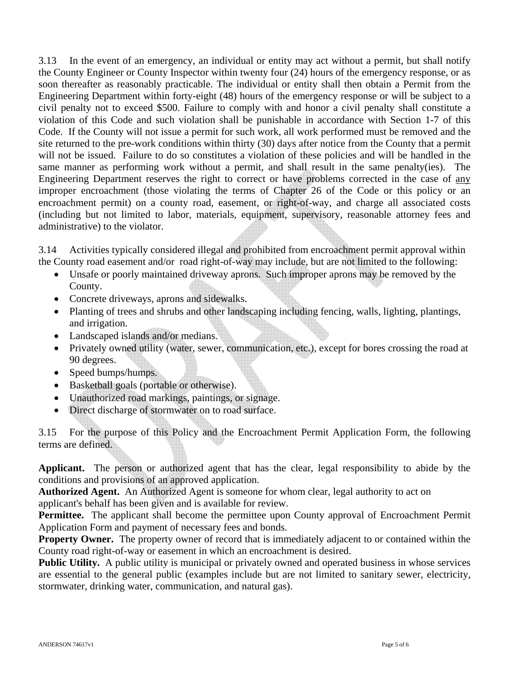3.13 In the event of an emergency, an individual or entity may act without a permit, but shall notify the County Engineer or County Inspector within twenty four (24) hours of the emergency response, or as soon thereafter as reasonably practicable. The individual or entity shall then obtain a Permit from the Engineering Department within forty-eight (48) hours of the emergency response or will be subject to a civil penalty not to exceed \$500. Failure to comply with and honor a civil penalty shall constitute a violation of this Code and such violation shall be punishable in accordance with Section 1-7 of this Code. If the County will not issue a permit for such work, all work performed must be removed and the site returned to the pre-work conditions within thirty (30) days after notice from the County that a permit will not be issued. Failure to do so constitutes a violation of these policies and will be handled in the same manner as performing work without a permit, and shall result in the same penalty(ies). The Engineering Department reserves the right to correct or have problems corrected in the case of any improper encroachment (those violating the terms of Chapter 26 of the Code or this policy or an encroachment permit) on a county road, easement, or right-of-way, and charge all associated costs (including but not limited to labor, materials, equipment, supervisory, reasonable attorney fees and administrative) to the violator.

3.14 Activities typically considered illegal and prohibited from encroachment permit approval within the County road easement and/or road right-of-way may include, but are not limited to the following:

- Unsafe or poorly maintained driveway aprons. Such improper aprons may be removed by the County.
- Concrete driveways, aprons and sidewalks.
- Planting of trees and shrubs and other landscaping including fencing, walls, lighting, plantings, and irrigation.
- Landscaped islands and/or medians.
- Privately owned utility (water, sewer, communication, etc.), except for bores crossing the road at 90 degrees.
- Speed bumps/humps.
- Basketball goals (portable or otherwise).
- Unauthorized road markings, paintings, or signage.
- Direct discharge of stormwater on to road surface.

3.15 For the purpose of this Policy and the Encroachment Permit Application Form, the following terms are defined.

**Applicant.** The person or authorized agent that has the clear, legal responsibility to abide by the conditions and provisions of an approved application.

**Authorized Agent.** An Authorized Agent is someone for whom clear, legal authority to act on applicant's behalf has been given and is available for review.

**Permittee.** The applicant shall become the permittee upon County approval of Encroachment Permit Application Form and payment of necessary fees and bonds.

**Property Owner.** The property owner of record that is immediately adjacent to or contained within the County road right-of-way or easement in which an encroachment is desired.

**Public Utility.** A public utility is municipal or privately owned and operated business in whose services are essential to the general public (examples include but are not limited to sanitary sewer, electricity, stormwater, drinking water, communication, and natural gas).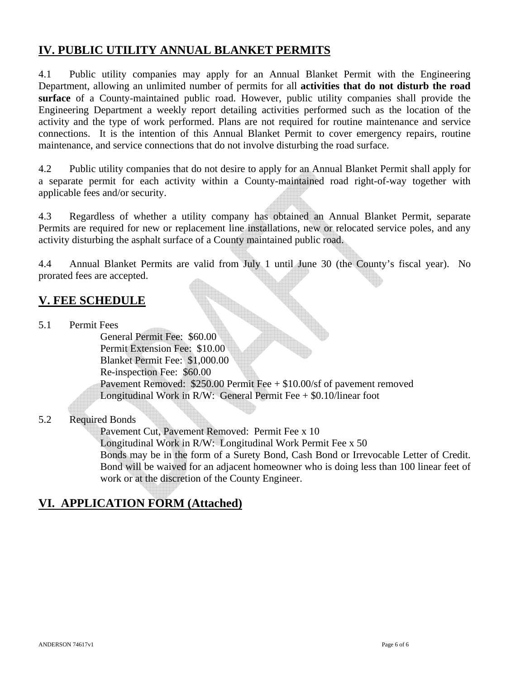# **IV. PUBLIC UTILITY ANNUAL BLANKET PERMITS**

4.1 Public utility companies may apply for an Annual Blanket Permit with the Engineering Department, allowing an unlimited number of permits for all **activities that do not disturb the road surface** of a County-maintained public road. However, public utility companies shall provide the Engineering Department a weekly report detailing activities performed such as the location of the activity and the type of work performed. Plans are not required for routine maintenance and service connections. It is the intention of this Annual Blanket Permit to cover emergency repairs, routine maintenance, and service connections that do not involve disturbing the road surface.

4.2 Public utility companies that do not desire to apply for an Annual Blanket Permit shall apply for a separate permit for each activity within a County-maintained road right-of-way together with applicable fees and/or security.

4.3 Regardless of whether a utility company has obtained an Annual Blanket Permit, separate Permits are required for new or replacement line installations, new or relocated service poles, and any activity disturbing the asphalt surface of a County maintained public road.

4.4 Annual Blanket Permits are valid from July 1 until June 30 (the County's fiscal year). No prorated fees are accepted.

# **V. FEE SCHEDULE**

5.1 Permit Fees

General Permit Fee: \$60.00 Permit Extension Fee: \$10.00 Blanket Permit Fee: \$1,000.00 Re-inspection Fee: \$60.00 Pavement Removed: \$250.00 Permit Fee + \$10.00/sf of pavement removed Longitudinal Work in R/W: General Permit Fee  $+$  \$0.10/linear foot

## 5.2 Required Bonds

Pavement Cut, Pavement Removed: Permit Fee x 10 Longitudinal Work in R/W: Longitudinal Work Permit Fee x 50 Bonds may be in the form of a Surety Bond, Cash Bond or Irrevocable Letter of Credit. Bond will be waived for an adjacent homeowner who is doing less than 100 linear feet of work or at the discretion of the County Engineer.

# **VI. APPLICATION FORM (Attached)**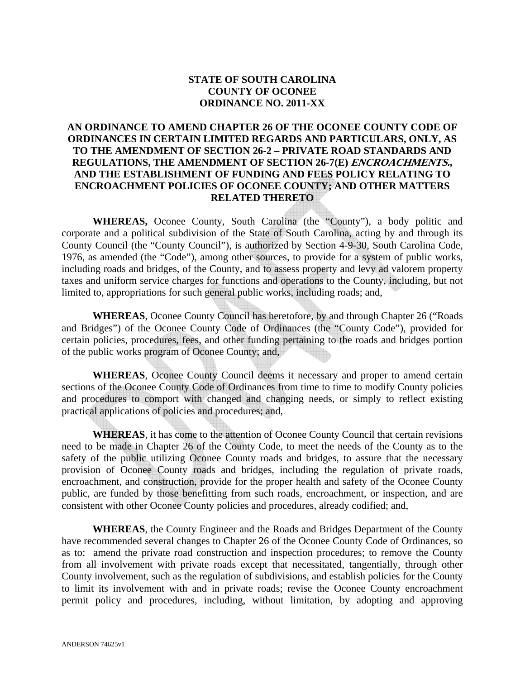## **STATE OF SOUTH CAROLINA COUNTY OF OCONEE ORDINANCE NO. 2011-XX**

## **AN ORDINANCE TO AMEND CHAPTER 26 OF THE OCONEE COUNTY CODE OF ORDINANCES IN CERTAIN LIMITED REGARDS AND PARTICULARS, ONLY, AS TO THE AMENDMENT OF SECTION 26-2 – PRIVATE ROAD STANDARDS AND REGULATIONS, THE AMENDMENT OF SECTION 26-7(E) ENCROACHMENTS., AND THE ESTABLISHMENT OF FUNDING AND FEES POLICY RELATING TO ENCROACHMENT POLICIES OF OCONEE COUNTY; AND OTHER MATTERS RELATED THERETO**

**WHEREAS,** Oconee County, South Carolina (the "County"), a body politic and corporate and a political subdivision of the State of South Carolina, acting by and through its County Council (the "County Council"), is authorized by Section 4-9-30, South Carolina Code, 1976, as amended (the "Code"), among other sources, to provide for a system of public works, including roads and bridges, of the County, and to assess property and levy ad valorem property taxes and uniform service charges for functions and operations to the County, including, but not limited to, appropriations for such general public works, including roads; and,

**WHEREAS**, Oconee County Council has heretofore, by and through Chapter 26 ("Roads and Bridges") of the Oconee County Code of Ordinances (the "County Code"), provided for certain policies, procedures, fees, and other funding pertaining to the roads and bridges portion of the public works program of Oconee County; and,

**WHEREAS**, Oconee County Council deems it necessary and proper to amend certain sections of the Oconee County Code of Ordinances from time to time to modify County policies and procedures to comport with changed and changing needs, or simply to reflect existing practical applications of policies and procedures; and,

**WHEREAS**, it has come to the attention of Oconee County Council that certain revisions need to be made in Chapter 26 of the County Code, to meet the needs of the County as to the safety of the public utilizing Oconee County roads and bridges, to assure that the necessary provision of Oconee County roads and bridges, including the regulation of private roads, encroachment, and construction, provide for the proper health and safety of the Oconee County public, are funded by those benefitting from such roads, encroachment, or inspection, and are consistent with other Oconee County policies and procedures, already codified; and,

**WHEREAS**, the County Engineer and the Roads and Bridges Department of the County have recommended several changes to Chapter 26 of the Oconee County Code of Ordinances, so as to: amend the private road construction and inspection procedures; to remove the County from all involvement with private roads except that necessitated, tangentially, through other County involvement, such as the regulation of subdivisions, and establish policies for the County to limit its involvement with and in private roads; revise the Oconee County encroachment permit policy and procedures, including, without limitation, by adopting and approving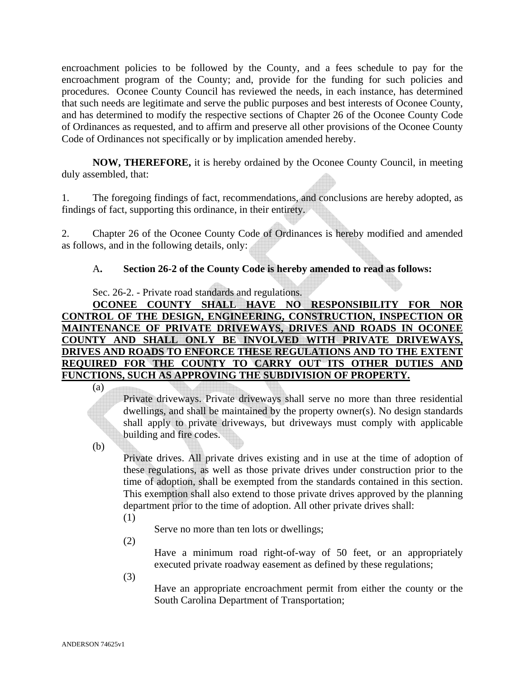encroachment policies to be followed by the County, and a fees schedule to pay for the encroachment program of the County; and, provide for the funding for such policies and procedures. Oconee County Council has reviewed the needs, in each instance, has determined that such needs are legitimate and serve the public purposes and best interests of Oconee County, and has determined to modify the respective sections of Chapter 26 of the Oconee County Code of Ordinances as requested, and to affirm and preserve all other provisions of the Oconee County Code of Ordinances not specifically or by implication amended hereby.

**NOW, THEREFORE,** it is hereby ordained by the Oconee County Council, in meeting duly assembled, that:

1. The foregoing findings of fact, recommendations, and conclusions are hereby adopted, as findings of fact, supporting this ordinance, in their entirety.

2. Chapter 26 of the Oconee County Code of Ordinances is hereby modified and amended as follows, and in the following details, only:

# A**. Section 26-2 of the County Code is hereby amended to read as follows:**

Sec. 26-2. - Private road standards and regulations.

**OCONEE COUNTY SHALL HAVE NO RESPONSIBILITY FOR NOR CONTROL OF THE DESIGN, ENGINEERING, CONSTRUCTION, INSPECTION OR MAINTENANCE OF PRIVATE DRIVEWAYS, DRIVES AND ROADS IN OCONEE COUNTY AND SHALL ONLY BE INVOLVED WITH PRIVATE DRIVEWAYS, DRIVES AND ROADS TO ENFORCE THESE REGULATIONS AND TO THE EXTENT REQUIRED FOR THE COUNTY TO CARRY OUT ITS OTHER DUTIES AND FUNCTIONS, SUCH AS APPROVING THE SUBDIVISION OF PROPERTY.**

(a)

Private driveways. Private driveways shall serve no more than three residential dwellings, and shall be maintained by the property owner(s). No design standards shall apply to private driveways, but driveways must comply with applicable building and fire codes.

(b)

Private drives. All private drives existing and in use at the time of adoption of these regulations, as well as those private drives under construction prior to the time of adoption, shall be exempted from the standards contained in this section. This exemption shall also extend to those private drives approved by the planning department prior to the time of adoption. All other private drives shall:

(1)

Serve no more than ten lots or dwellings;

(2)

Have a minimum road right-of-way of 50 feet, or an appropriately executed private roadway easement as defined by these regulations;

(3)

Have an appropriate encroachment permit from either the county or the South Carolina Department of Transportation;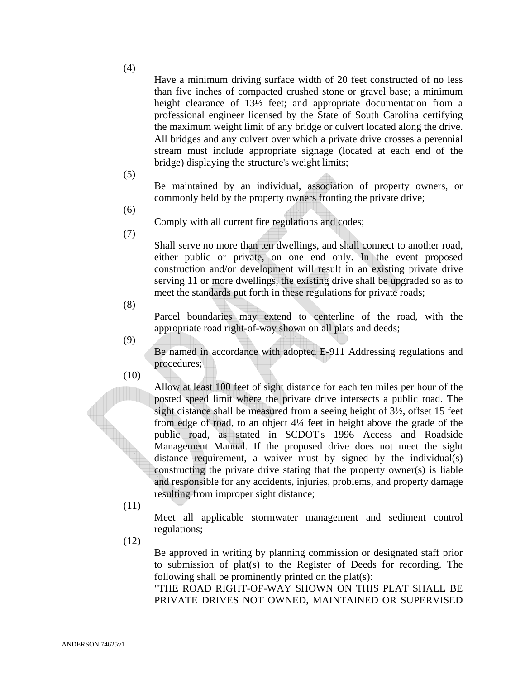(4)

Have a minimum driving surface width of 20 feet constructed of no less than five inches of compacted crushed stone or gravel base; a minimum height clearance of  $13\frac{1}{2}$  feet; and appropriate documentation from a professional engineer licensed by the State of South Carolina certifying the maximum weight limit of any bridge or culvert located along the drive. All bridges and any culvert over which a private drive crosses a perennial stream must include appropriate signage (located at each end of the bridge) displaying the structure's weight limits;

(5)

Be maintained by an individual, association of property owners, or commonly held by the property owners fronting the private drive;

(6)

(7)

Comply with all current fire regulations and codes;

Shall serve no more than ten dwellings, and shall connect to another road, either public or private, on one end only. In the event proposed construction and/or development will result in an existing private drive serving 11 or more dwellings, the existing drive shall be upgraded so as to meet the standards put forth in these regulations for private roads;

(8)

Parcel boundaries may extend to centerline of the road, with the appropriate road right-of-way shown on all plats and deeds;

(9)

Be named in accordance with adopted E-911 Addressing regulations and procedures;

(10)

Allow at least 100 feet of sight distance for each ten miles per hour of the posted speed limit where the private drive intersects a public road. The sight distance shall be measured from a seeing height of 3½, offset 15 feet from edge of road, to an object 4¼ feet in height above the grade of the public road, as stated in SCDOT's 1996 Access and Roadside Management Manual. If the proposed drive does not meet the sight distance requirement, a waiver must by signed by the individual(s) constructing the private drive stating that the property owner(s) is liable and responsible for any accidents, injuries, problems, and property damage resulting from improper sight distance;

(11)

Meet all applicable stormwater management and sediment control regulations;

(12)

Be approved in writing by planning commission or designated staff prior to submission of plat(s) to the Register of Deeds for recording. The following shall be prominently printed on the plat(s):

"THE ROAD RIGHT-OF-WAY SHOWN ON THIS PLAT SHALL BE PRIVATE DRIVES NOT OWNED, MAINTAINED OR SUPERVISED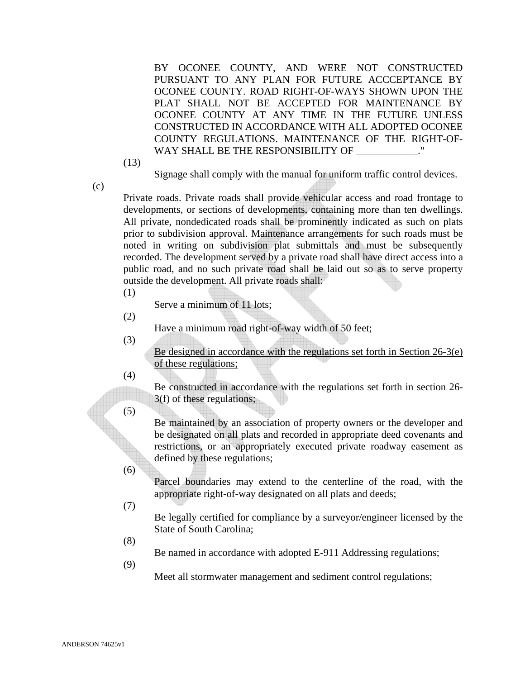BY OCONEE COUNTY, AND WERE NOT CONSTRUCTED PURSUANT TO ANY PLAN FOR FUTURE ACCCEPTANCE BY OCONEE COUNTY. ROAD RIGHT-OF-WAYS SHOWN UPON THE PLAT SHALL NOT BE ACCEPTED FOR MAINTENANCE BY OCONEE COUNTY AT ANY TIME IN THE FUTURE UNLESS CONSTRUCTED IN ACCORDANCE WITH ALL ADOPTED OCONEE COUNTY REGULATIONS. MAINTENANCE OF THE RIGHT-OF-WAY SHALL BE THE RESPONSIBILITY OF \_\_\_\_\_\_\_\_\_\_\_\_."

(13)

Signage shall comply with the manual for uniform traffic control devices.

(c)

Private roads. Private roads shall provide vehicular access and road frontage to developments, or sections of developments, containing more than ten dwellings. All private, nondedicated roads shall be prominently indicated as such on plats prior to subdivision approval. Maintenance arrangements for such roads must be noted in writing on subdivision plat submittals and must be subsequently recorded. The development served by a private road shall have direct access into a public road, and no such private road shall be laid out so as to serve property outside the development. All private roads shall:

(1)

Serve a minimum of 11 lots;

(2)

Have a minimum road right-of-way width of 50 feet;

(3)

Be designed in accordance with the regulations set forth in Section 26-3(e) of these regulations;

(4)

Be constructed in accordance with the regulations set forth in section 26- 3(f) of these regulations;

(5)

Be maintained by an association of property owners or the developer and be designated on all plats and recorded in appropriate deed covenants and restrictions, or an appropriately executed private roadway easement as defined by these regulations;

- Parcel boundaries may extend to the centerline of the road, with the appropriate right-of-way designated on all plats and deeds;
- (7)

(6)

Be legally certified for compliance by a surveyor/engineer licensed by the State of South Carolina;

(8)

Be named in accordance with adopted E-911 Addressing regulations;

(9)

Meet all stormwater management and sediment control regulations;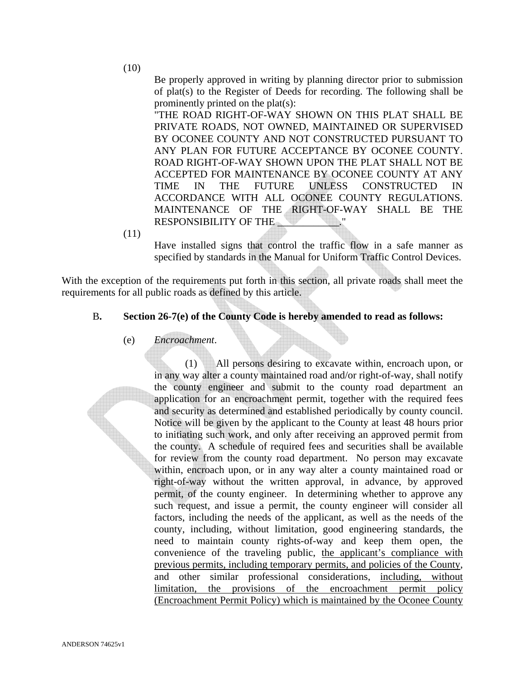(10)

Be properly approved in writing by planning director prior to submission of plat(s) to the Register of Deeds for recording. The following shall be prominently printed on the plat(s):

"THE ROAD RIGHT-OF-WAY SHOWN ON THIS PLAT SHALL BE PRIVATE ROADS, NOT OWNED, MAINTAINED OR SUPERVISED BY OCONEE COUNTY AND NOT CONSTRUCTED PURSUANT TO ANY PLAN FOR FUTURE ACCEPTANCE BY OCONEE COUNTY. ROAD RIGHT-OF-WAY SHOWN UPON THE PLAT SHALL NOT BE ACCEPTED FOR MAINTENANCE BY OCONEE COUNTY AT ANY TIME IN THE FUTURE UNLESS CONSTRUCTED IN ACCORDANCE WITH ALL OCONEE COUNTY REGULATIONS. MAINTENANCE OF THE RIGHT-OF-WAY SHALL BE THE RESPONSIBILITY OF THE

(11)

Have installed signs that control the traffic flow in a safe manner as specified by standards in the Manual for Uniform Traffic Control Devices.

With the exception of the requirements put forth in this section, all private roads shall meet the requirements for all public roads as defined by this article.

## B**. Section 26-7(e) of the County Code is hereby amended to read as follows:**

## (e) *Encroachment*.

 (1) All persons desiring to excavate within, encroach upon, or in any way alter a county maintained road and/or right-of-way, shall notify the county engineer and submit to the county road department an application for an encroachment permit, together with the required fees and security as determined and established periodically by county council. Notice will be given by the applicant to the County at least 48 hours prior to initiating such work, and only after receiving an approved permit from the county. A schedule of required fees and securities shall be available for review from the county road department. No person may excavate within, encroach upon, or in any way alter a county maintained road or right-of-way without the written approval, in advance, by approved permit, of the county engineer. In determining whether to approve any such request, and issue a permit, the county engineer will consider all factors, including the needs of the applicant, as well as the needs of the county, including, without limitation, good engineering standards, the need to maintain county rights-of-way and keep them open, the convenience of the traveling public, the applicant's compliance with previous permits, including temporary permits, and policies of the County, and other similar professional considerations, including, without limitation, the provisions of the encroachment permit policy (Encroachment Permit Policy) which is maintained by the Oconee County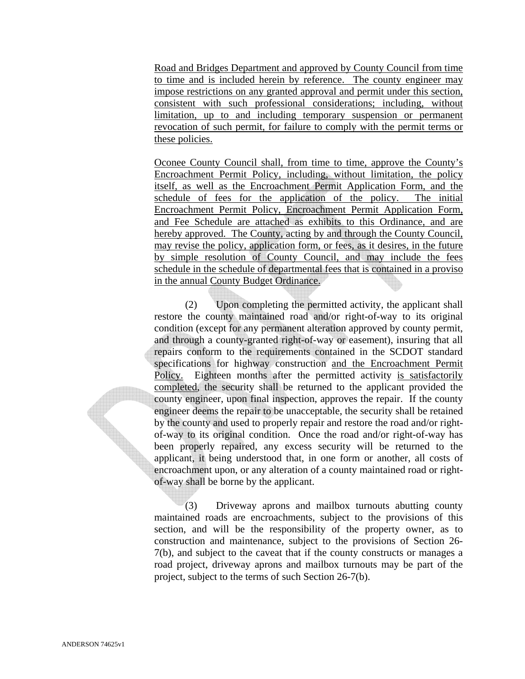Road and Bridges Department and approved by County Council from time to time and is included herein by reference. The county engineer may impose restrictions on any granted approval and permit under this section, consistent with such professional considerations; including, without limitation, up to and including temporary suspension or permanent revocation of such permit, for failure to comply with the permit terms or these policies.

Oconee County Council shall, from time to time, approve the County's Encroachment Permit Policy, including, without limitation, the policy itself, as well as the Encroachment Permit Application Form, and the schedule of fees for the application of the policy. The initial Encroachment Permit Policy, Encroachment Permit Application Form, and Fee Schedule are attached as exhibits to this Ordinance, and are hereby approved. The County, acting by and through the County Council, may revise the policy, application form, or fees, as it desires, in the future by simple resolution of County Council, and may include the fees schedule in the schedule of departmental fees that is contained in a proviso in the annual County Budget Ordinance.

 (2) Upon completing the permitted activity, the applicant shall restore the county maintained road and/or right-of-way to its original condition (except for any permanent alteration approved by county permit, and through a county-granted right-of-way or easement), insuring that all repairs conform to the requirements contained in the SCDOT standard specifications for highway construction and the Encroachment Permit Policy. Eighteen months after the permitted activity is satisfactorily completed, the security shall be returned to the applicant provided the county engineer, upon final inspection, approves the repair. If the county engineer deems the repair to be unacceptable, the security shall be retained by the county and used to properly repair and restore the road and/or rightof-way to its original condition. Once the road and/or right-of-way has been properly repaired, any excess security will be returned to the applicant, it being understood that, in one form or another, all costs of encroachment upon, or any alteration of a county maintained road or rightof-way shall be borne by the applicant.

 (3) Driveway aprons and mailbox turnouts abutting county maintained roads are encroachments, subject to the provisions of this section, and will be the responsibility of the property owner, as to construction and maintenance, subject to the provisions of Section 26- 7(b), and subject to the caveat that if the county constructs or manages a road project, driveway aprons and mailbox turnouts may be part of the project, subject to the terms of such Section 26-7(b).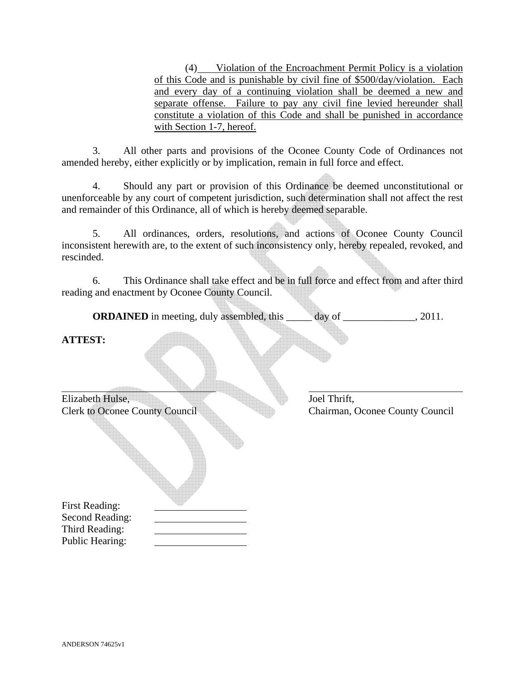(4) Violation of the Encroachment Permit Policy is a violation of this Code and is punishable by civil fine of \$500/day/violation. Each and every day of a continuing violation shall be deemed a new and separate offense. Failure to pay any civil fine levied hereunder shall constitute a violation of this Code and shall be punished in accordance with Section 1-7, hereof.

 3. All other parts and provisions of the Oconee County Code of Ordinances not amended hereby, either explicitly or by implication, remain in full force and effect.

 4. Should any part or provision of this Ordinance be deemed unconstitutional or unenforceable by any court of competent jurisdiction, such determination shall not affect the rest and remainder of this Ordinance, all of which is hereby deemed separable.

 5. All ordinances, orders, resolutions, and actions of Oconee County Council inconsistent herewith are, to the extent of such inconsistency only, hereby repealed, revoked, and rescinded.

 6. This Ordinance shall take effect and be in full force and effect from and after third reading and enactment by Oconee County Council.

**ORDAINED** in meeting, duly assembled, this \_\_\_\_\_ day of \_\_\_\_\_\_\_\_\_\_\_\_\_, 2011.

## **ATTEST:**

| Elizabeth Hulse,                      |
|---------------------------------------|
| <b>Clerk to Oconee County Council</b> |
|                                       |
| <b>First Reading:</b>                 |
| Second Reading:                       |
| Third Reading:<br>n 11'<br>TТ         |

Joel Thrift, Chairman, Oconee County Council

Public Hearing: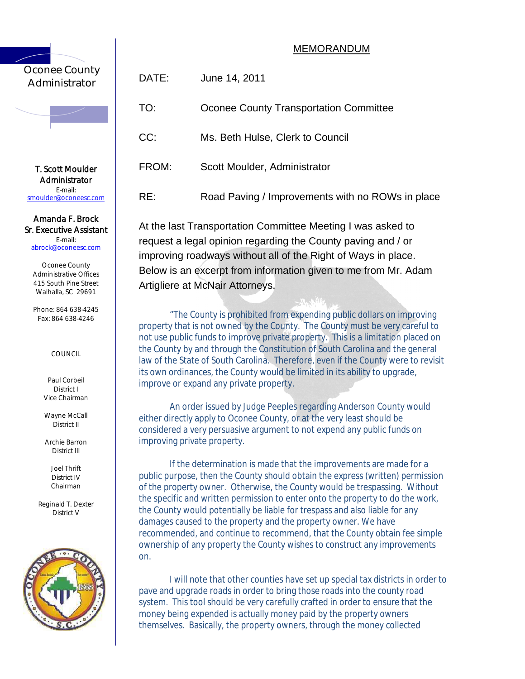## MEMORANDUM

# Oconee County Administrator

T. Scott Moulder Administr ator E-mail: smoulder@oconeesc.com

### Amanda F. Brock Sr. Executive Assistant E-mail:

abrock@oconeesc.com

Oconee County Administrative Offices 415 South Pine Street Walhalla, SC 29691

Phone: 864 638-4245 Fax: 864 638-4246

## COUNCIL

Paul Corbeil District I Vice Chairman

Wayne McCall District II

Archie Barron District III

> Joel Thrift District IV Chairman

Reginald T. Dexter District V



| <br>ator      | DATE: | June 14, 2011                                    |
|---------------|-------|--------------------------------------------------|
|               | TO:   | Oconee County Transportation Committee           |
|               | CC:   | Ms. Beth Hulse, Clerk to Council                 |
| ulder<br>ator | FROM: | Scott Moulder, Administrator                     |
| eesc.com      | RE:   | Road Paving / Improvements with no ROWs in place |
|               |       |                                                  |

At the last Transportation Committee Meeting I was asked to request a legal opinion regarding the County paving and / or improving roadways without all of the Right of Ways in place. Below is an excerpt from information given to me from Mr. Adam Artigliere at McNair Attorneys.

"The County is prohibited from expending public dollars on improving property that is not owned by the County. The County must be very careful to not use public funds to improve private property. This is a limitation placed on the County by and through the Constitution of South Carolina and the general law of the State of South Carolina. Therefore, even if the County were to revisit its own ordinances, the County would be limited in its ability to upgrade, improve or expand any private property.

An order issued by Judge Peeples regarding Anderson County would either directly apply to Oconee County, or at the very least should be considered a very persuasive argument to not expend any public funds on improving private property.

If the determination is made that the improvements are made for a public purpose, then the County should obtain the express (written) permission of the property owner. Otherwise, the County would be trespassing. Without the specific and written permission to enter onto the property to do the work, the County would potentially be liable for trespass and also liable for any damages caused to the property and the property owner. We have recommended, and continue to recommend, that the County obtain fee simple ownership of any property the County wishes to construct any improvements on.

I will note that other counties have set up special tax districts in order to pave and upgrade roads in order to bring those roads into the county road system. This tool should be very carefully crafted in order to ensure that the money being expended is actually money paid by the property owners themselves. Basically, the property owners, through the money collected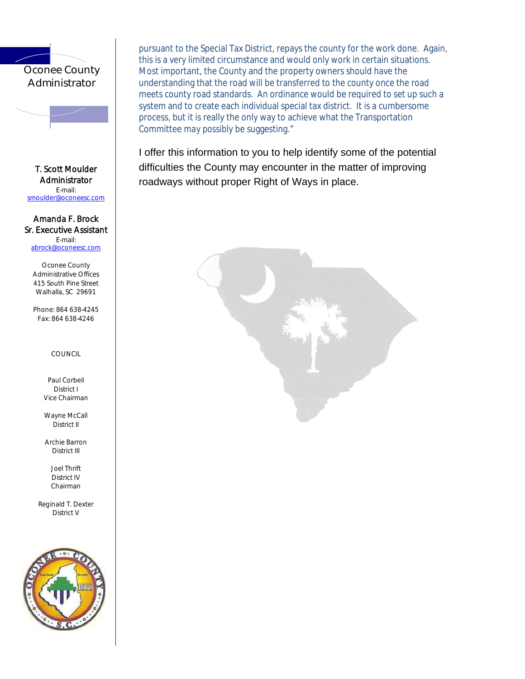# Oconee County **Administrator**

T. Scott Moulder **Administrator** E-mail: smoulder@oconeesc.com

## Amanda F. Brock Sr. Executive Assistant E-mail:

abrock@oconeesc.com

Oconee County Administrative Offices 415 South Pine Street Walhalla, SC 29691

Phone: 864 638-4245 Fax: 864 638-4246

## COUNCIL

Paul Corbeil District I Vice Chairman

Wayne McCall District II

Archie Barron District III

> Joel Thrift District IV Chairman

Reginald T. Dexter District V



pursuant to the Special Tax District, repays the county for the work done. Again, this is a very limited circumstance and would only work in certain situations. Most important, the County and the property owners should have the understanding that the road will be transferred to the county once the road meets county road standards. An ordinance would be required to set up such a system and to create each individual special tax district. It is a cumbersome process, but it is really the only way to achieve what the Transportation Committee *may possibly* be suggesting."

I offer this information to you to help identify some of the potential difficulties the County may encounter in the matter of improving roadways without proper Right of Ways in place.